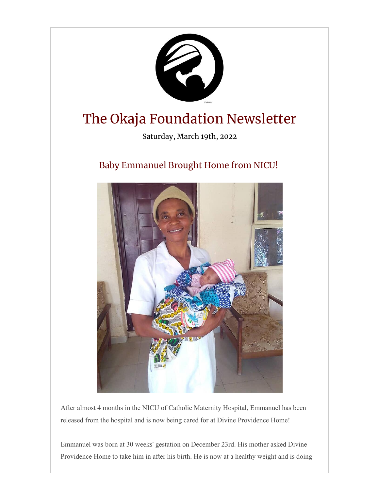

After almost 4 months in the NICU of Catholic Maternity Hospital, Emmanuel has been released from the hospital and is now being cared for at Divine Providence Home!

Emmanuel was born at 30 weeks' gestation on December 23rd. His mother asked Divine Providence Home to take him in after his birth. He is now at a healthy weight and is doing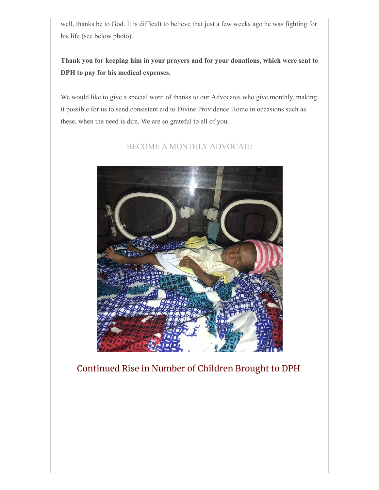well, thanks be to God. It is difficult to believe that just a few weeks ago he was fighting for his life (see below photo).

**Thank you for keeping him in your prayers and for your donations, which were sent to DPH to pay for his medical expenses.**

We would like to give a special word of thanks to our Advocates who give monthly, making it possible for us to send consistent aid to Divine Providence Home in occasions such as these, when the need is dire. We are so grateful to all of you.

[BECOME A MONTHLY ADVOCATE](https://secure.givelively.org/donate/okaja-foundation/the-okaja-foundation-s-monthly-advocate-program)



Continued Rise in Number of Children Brought to DPH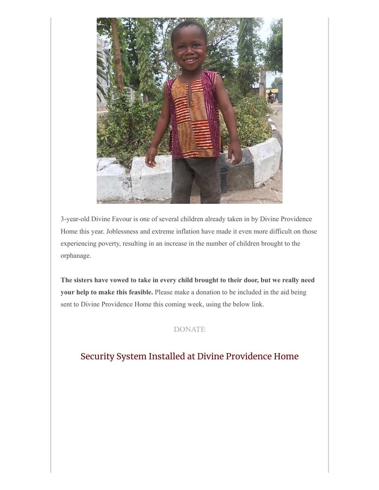

3-year-old Divine Favour is one of several children already taken in by Divine Providence Home this year. Joblessness and extreme inflation have made it even more difficult on those experiencing poverty, resulting in an increase in the number of children brought to the orphanage.

**The sisters have vowed to take in every child brought to their door, but we really need your help to make this feasible.** Please make a donation to be included in the aid being sent to Divine Providence Home this coming week, using the below link.

## [DONATE](http://theokajafoundation.org/donate)

## Security System Installed at Divine Providence Home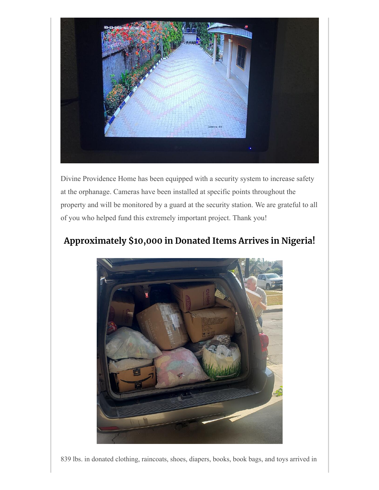

Divine Providence Home has been equipped with a security system to increase safety at the orphanage. Cameras have been installed at specific points throughout the property and will be monitored by a guard at the security station. We are grateful to all of you who helped fund this extremely important project. Thank you!



## **Approximately \$10,000 in Donated Items Arrives in Nigeria!**

839 lbs. in donated clothing, raincoats, shoes, diapers, books, book bags, and toys arrived in